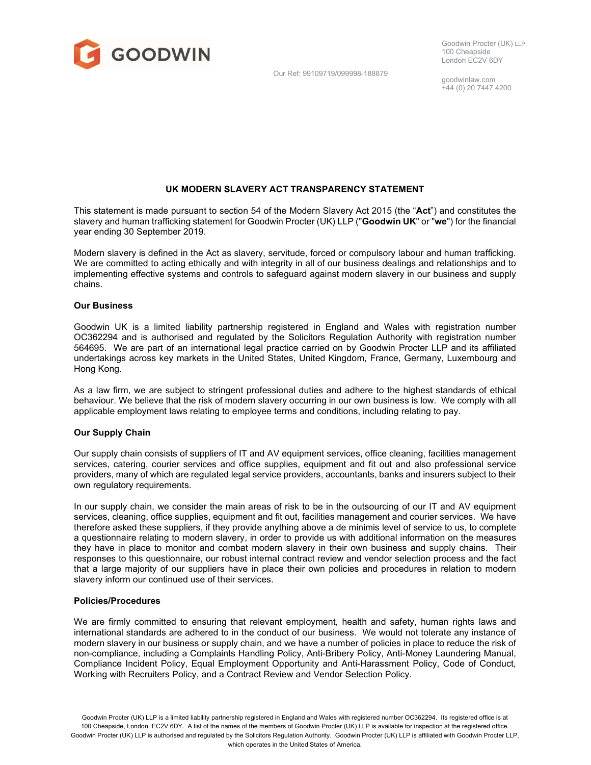

Our Ref: 99109719/099998-188879

goodwinlaw.com +44 (0) 20 7447 4200

# UK MODERN SLAVERY ACT TRANSPARENCY STATEMENT

This statement is made pursuant to section 54 of the Modern Slavery Act 2015 (the "Act") and constitutes the slavery and human trafficking statement for Goodwin Procter (UK) LLP ("Goodwin UK" or "we") for the financial year ending 30 September 2019.

Modern slavery is defined in the Act as slavery, servitude, forced or compulsory labour and human trafficking. We are committed to acting ethically and with integrity in all of our business dealings and relationships and to implementing effective systems and controls to safeguard against modern slavery in our business and supply chains.

#### Our Business

Goodwin UK is a limited liability partnership registered in England and Wales with registration number OC362294 and is authorised and regulated by the Solicitors Regulation Authority with registration number 564695. We are part of an international legal practice carried on by Goodwin Procter LLP and its affiliated undertakings across key markets in the United States, United Kingdom, France, Germany, Luxembourg and Hong Kong.

As a law firm, we are subject to stringent professional duties and adhere to the highest standards of ethical behaviour. We believe that the risk of modern slavery occurring in our own business is low. We comply with all applicable employment laws relating to employee terms and conditions, including relating to pay.

### Our Supply Chain

Our supply chain consists of suppliers of IT and AV equipment services, office cleaning, facilities management services, catering, courier services and office supplies, equipment and fit out and also professional service providers, many of which are regulated legal service providers, accountants, banks and insurers subject to their own regulatory requirements.

In our supply chain, we consider the main areas of risk to be in the outsourcing of our IT and AV equipment services, cleaning, office supplies, equipment and fit out, facilities management and courier services. We have therefore asked these suppliers, if they provide anything above a de minimis level of service to us, to complete a questionnaire relating to modern slavery, in order to provide us with additional information on the measures they have in place to monitor and combat modern slavery in their own business and supply chains. Their responses to this questionnaire, our robust internal contract review and vendor selection process and the fact that a large majority of our suppliers have in place their own policies and procedures in relation to modern slavery inform our continued use of their services.

# Policies/Procedures

We are firmly committed to ensuring that relevant employment, health and safety, human rights laws and international standards are adhered to in the conduct of our business. We would not tolerate any instance of modern slavery in our business or supply chain, and we have a number of policies in place to reduce the risk of non-compliance, including a Complaints Handling Policy, Anti-Bribery Policy, Anti-Money Laundering Manual, Compliance Incident Policy, Equal Employment Opportunity and Anti-Harassment Policy, Code of Conduct, Working with Recruiters Policy, and a Contract Review and Vendor Selection Policy.